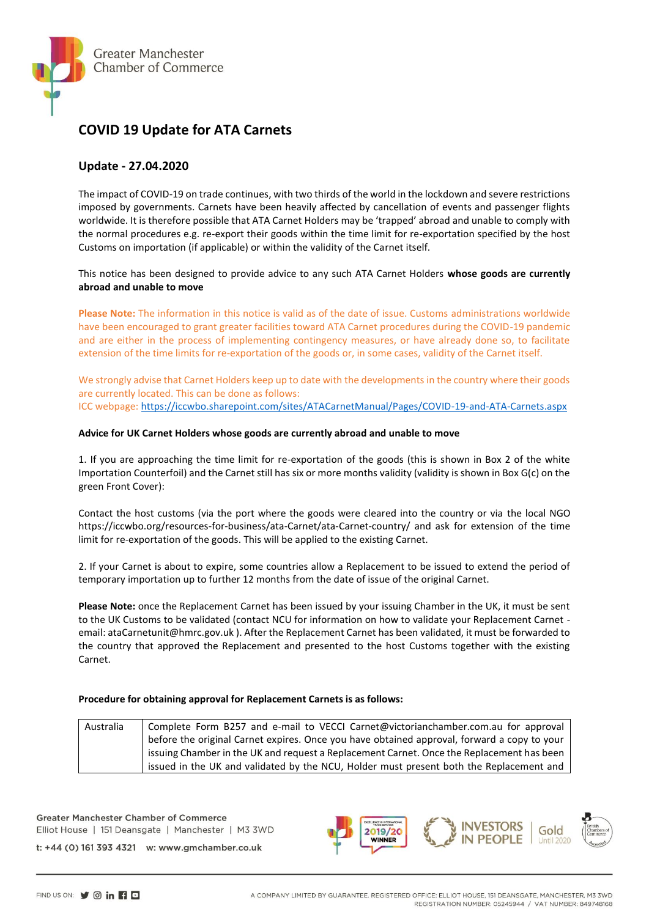

## **COVID 19 Update for ATA Carnets**

## **Update - 27.04.2020**

The impact of COVID-19 on trade continues, with two thirds of the world in the lockdown and severe restrictions imposed by governments. Carnets have been heavily affected by cancellation of events and passenger flights worldwide. It is therefore possible that ATA Carnet Holders may be 'trapped' abroad and unable to comply with the normal procedures e.g. re-export their goods within the time limit for re-exportation specified by the host Customs on importation (if applicable) or within the validity of the Carnet itself.

This notice has been designed to provide advice to any such ATA Carnet Holders **whose goods are currently abroad and unable to move** 

**Please Note:** The information in this notice is valid as of the date of issue. Customs administrations worldwide have been encouraged to grant greater facilities toward ATA Carnet procedures during the COVID-19 pandemic and are either in the process of implementing contingency measures, or have already done so, to facilitate extension of the time limits for re-exportation of the goods or, in some cases, validity of the Carnet itself.

We strongly advise that Carnet Holders keep up to date with the developments in the country where their goods are currently located. This can be done as follows: ICC webpage[: https://iccwbo.sharepoint.com/sites/ATACarnetManual/Pages/COVID-19-and-ATA-Carnets.aspx](https://iccwbo.sharepoint.com/sites/ATACarnetManual/Pages/COVID-19-and-ATA-Carnets.aspx)

## **Advice for UK Carnet Holders whose goods are currently abroad and unable to move**

1. If you are approaching the time limit for re-exportation of the goods (this is shown in Box 2 of the white Importation Counterfoil) and the Carnet still has six or more months validity (validity is shown in Box G(c) on the green Front Cover):

Contact the host customs (via the port where the goods were cleared into the country or via the local NGO https://iccwbo.org/resources-for-business/ata-Carnet/ata-Carnet-country/ and ask for extension of the time limit for re-exportation of the goods. This will be applied to the existing Carnet.

2. If your Carnet is about to expire, some countries allow a Replacement to be issued to extend the period of temporary importation up to further 12 months from the date of issue of the original Carnet.

**Please Note:** once the Replacement Carnet has been issued by your issuing Chamber in the UK, it must be sent to the UK Customs to be validated (contact NCU for information on how to validate your Replacement Carnet email: ataCarnetunit@hmrc.gov.uk ). After the Replacement Carnet has been validated, it must be forwarded to the country that approved the Replacement and presented to the host Customs together with the existing Carnet.

## **Procedure for obtaining approval for Replacement Carnets is as follows:**

| Australia | Complete Form B257 and e-mail to VECCI Carnet@victorianchamber.com.au for approval          |
|-----------|---------------------------------------------------------------------------------------------|
|           | before the original Carnet expires. Once you have obtained approval, forward a copy to your |
|           | issuing Chamber in the UK and request a Replacement Carnet. Once the Replacement has been   |
|           | issued in the UK and validated by the NCU, Holder must present both the Replacement and     |

**Greater Manchester Chamber of Commerce** Elliot House | 151 Deansgate | Manchester | M3 3WD

t: +44 (0) 161 393 4321 w: www.gmchamber.co.uk

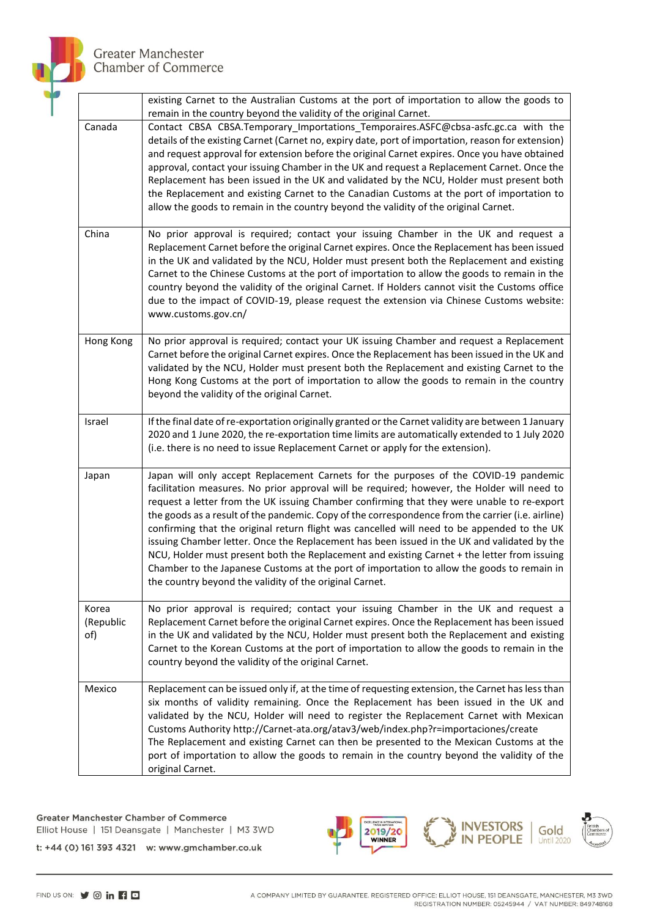

**Greater Manchester** Chamber of Commerce

|                           | existing Carnet to the Australian Customs at the port of importation to allow the goods to<br>remain in the country beyond the validity of the original Carnet.                                                                                                                                                                                                                                                                                                                                                                                                                                                                                                                                                                                                                                                                              |
|---------------------------|----------------------------------------------------------------------------------------------------------------------------------------------------------------------------------------------------------------------------------------------------------------------------------------------------------------------------------------------------------------------------------------------------------------------------------------------------------------------------------------------------------------------------------------------------------------------------------------------------------------------------------------------------------------------------------------------------------------------------------------------------------------------------------------------------------------------------------------------|
| Canada                    | Contact CBSA CBSA.Temporary Importations Temporaires.ASFC@cbsa-asfc.gc.ca with the<br>details of the existing Carnet (Carnet no, expiry date, port of importation, reason for extension)<br>and request approval for extension before the original Carnet expires. Once you have obtained<br>approval, contact your issuing Chamber in the UK and request a Replacement Carnet. Once the<br>Replacement has been issued in the UK and validated by the NCU, Holder must present both<br>the Replacement and existing Carnet to the Canadian Customs at the port of importation to<br>allow the goods to remain in the country beyond the validity of the original Carnet.                                                                                                                                                                    |
| China                     | No prior approval is required; contact your issuing Chamber in the UK and request a<br>Replacement Carnet before the original Carnet expires. Once the Replacement has been issued<br>in the UK and validated by the NCU, Holder must present both the Replacement and existing<br>Carnet to the Chinese Customs at the port of importation to allow the goods to remain in the<br>country beyond the validity of the original Carnet. If Holders cannot visit the Customs office<br>due to the impact of COVID-19, please request the extension via Chinese Customs website:<br>www.customs.gov.cn/                                                                                                                                                                                                                                         |
| Hong Kong                 | No prior approval is required; contact your UK issuing Chamber and request a Replacement<br>Carnet before the original Carnet expires. Once the Replacement has been issued in the UK and<br>validated by the NCU, Holder must present both the Replacement and existing Carnet to the<br>Hong Kong Customs at the port of importation to allow the goods to remain in the country<br>beyond the validity of the original Carnet.                                                                                                                                                                                                                                                                                                                                                                                                            |
| Israel                    | If the final date of re-exportation originally granted or the Carnet validity are between 1 January<br>2020 and 1 June 2020, the re-exportation time limits are automatically extended to 1 July 2020<br>(i.e. there is no need to issue Replacement Carnet or apply for the extension).                                                                                                                                                                                                                                                                                                                                                                                                                                                                                                                                                     |
| Japan                     | Japan will only accept Replacement Carnets for the purposes of the COVID-19 pandemic<br>facilitation measures. No prior approval will be required; however, the Holder will need to<br>request a letter from the UK issuing Chamber confirming that they were unable to re-export<br>the goods as a result of the pandemic. Copy of the correspondence from the carrier (i.e. airline)<br>confirming that the original return flight was cancelled will need to be appended to the UK<br>issuing Chamber letter. Once the Replacement has been issued in the UK and validated by the<br>NCU, Holder must present both the Replacement and existing Carnet + the letter from issuing<br>Chamber to the Japanese Customs at the port of importation to allow the goods to remain in<br>the country beyond the validity of the original Carnet. |
| Korea<br>(Republic<br>of) | No prior approval is required; contact your issuing Chamber in the UK and request a<br>Replacement Carnet before the original Carnet expires. Once the Replacement has been issued<br>in the UK and validated by the NCU, Holder must present both the Replacement and existing<br>Carnet to the Korean Customs at the port of importation to allow the goods to remain in the<br>country beyond the validity of the original Carnet.                                                                                                                                                                                                                                                                                                                                                                                                        |
| Mexico                    | Replacement can be issued only if, at the time of requesting extension, the Carnet has less than<br>six months of validity remaining. Once the Replacement has been issued in the UK and<br>validated by the NCU, Holder will need to register the Replacement Carnet with Mexican<br>Customs Authority http://Carnet-ata.org/atav3/web/index.php?r=importaciones/create<br>The Replacement and existing Carnet can then be presented to the Mexican Customs at the<br>port of importation to allow the goods to remain in the country beyond the validity of the<br>original Carnet.                                                                                                                                                                                                                                                        |

**Greater Manchester Chamber of Commerce** Elliot House | 151 Deansgate | Manchester | M3 3WD



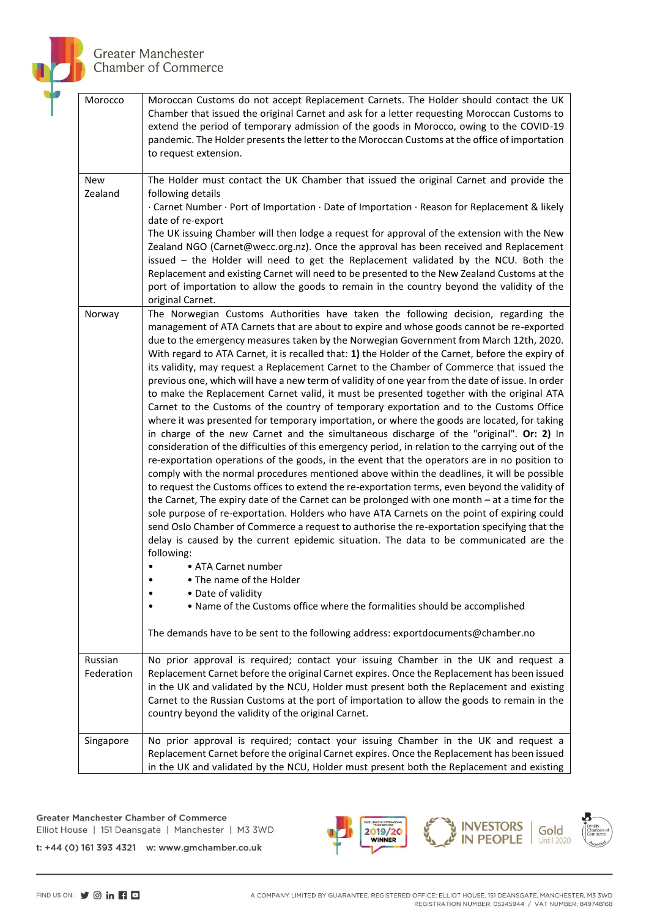

| Morocco               | Moroccan Customs do not accept Replacement Carnets. The Holder should contact the UK<br>Chamber that issued the original Carnet and ask for a letter requesting Moroccan Customs to<br>extend the period of temporary admission of the goods in Morocco, owing to the COVID-19<br>pandemic. The Holder presents the letter to the Moroccan Customs at the office of importation<br>to request extension.                                                                                                                                                                                                                                                                                                                                                                                                                                                                                                                                                                                                                                                                                                                                                                                                                                                                                                                                                                                                                                                                                                                                                                                                                                                                                                                                                                                                                                                                                                                                                                                                                    |
|-----------------------|-----------------------------------------------------------------------------------------------------------------------------------------------------------------------------------------------------------------------------------------------------------------------------------------------------------------------------------------------------------------------------------------------------------------------------------------------------------------------------------------------------------------------------------------------------------------------------------------------------------------------------------------------------------------------------------------------------------------------------------------------------------------------------------------------------------------------------------------------------------------------------------------------------------------------------------------------------------------------------------------------------------------------------------------------------------------------------------------------------------------------------------------------------------------------------------------------------------------------------------------------------------------------------------------------------------------------------------------------------------------------------------------------------------------------------------------------------------------------------------------------------------------------------------------------------------------------------------------------------------------------------------------------------------------------------------------------------------------------------------------------------------------------------------------------------------------------------------------------------------------------------------------------------------------------------------------------------------------------------------------------------------------------------|
| New<br>Zealand        | The Holder must contact the UK Chamber that issued the original Carnet and provide the<br>following details<br>· Carnet Number · Port of Importation · Date of Importation · Reason for Replacement & likely<br>date of re-export                                                                                                                                                                                                                                                                                                                                                                                                                                                                                                                                                                                                                                                                                                                                                                                                                                                                                                                                                                                                                                                                                                                                                                                                                                                                                                                                                                                                                                                                                                                                                                                                                                                                                                                                                                                           |
|                       | The UK issuing Chamber will then lodge a request for approval of the extension with the New<br>Zealand NGO (Carnet@wecc.org.nz). Once the approval has been received and Replacement<br>issued - the Holder will need to get the Replacement validated by the NCU. Both the<br>Replacement and existing Carnet will need to be presented to the New Zealand Customs at the<br>port of importation to allow the goods to remain in the country beyond the validity of the<br>original Carnet.                                                                                                                                                                                                                                                                                                                                                                                                                                                                                                                                                                                                                                                                                                                                                                                                                                                                                                                                                                                                                                                                                                                                                                                                                                                                                                                                                                                                                                                                                                                                |
| Norway                | The Norwegian Customs Authorities have taken the following decision, regarding the<br>management of ATA Carnets that are about to expire and whose goods cannot be re-exported<br>due to the emergency measures taken by the Norwegian Government from March 12th, 2020.<br>With regard to ATA Carnet, it is recalled that: 1) the Holder of the Carnet, before the expiry of<br>its validity, may request a Replacement Carnet to the Chamber of Commerce that issued the<br>previous one, which will have a new term of validity of one year from the date of issue. In order<br>to make the Replacement Carnet valid, it must be presented together with the original ATA<br>Carnet to the Customs of the country of temporary exportation and to the Customs Office<br>where it was presented for temporary importation, or where the goods are located, for taking<br>in charge of the new Carnet and the simultaneous discharge of the "original". Or: 2) In<br>consideration of the difficulties of this emergency period, in relation to the carrying out of the<br>re-exportation operations of the goods, in the event that the operators are in no position to<br>comply with the normal procedures mentioned above within the deadlines, it will be possible<br>to request the Customs offices to extend the re-exportation terms, even beyond the validity of<br>the Carnet, The expiry date of the Carnet can be prolonged with one month - at a time for the<br>sole purpose of re-exportation. Holders who have ATA Carnets on the point of expiring could<br>send Oslo Chamber of Commerce a request to authorise the re-exportation specifying that the<br>delay is caused by the current epidemic situation. The data to be communicated are the<br>following:<br>• ATA Carnet number<br>• The name of the Holder<br>• Date of validity<br>. Name of the Customs office where the formalities should be accomplished<br>The demands have to be sent to the following address: exportdocuments@chamber.no |
| Russian<br>Federation | No prior approval is required; contact your issuing Chamber in the UK and request a<br>Replacement Carnet before the original Carnet expires. Once the Replacement has been issued<br>in the UK and validated by the NCU, Holder must present both the Replacement and existing<br>Carnet to the Russian Customs at the port of importation to allow the goods to remain in the<br>country beyond the validity of the original Carnet.                                                                                                                                                                                                                                                                                                                                                                                                                                                                                                                                                                                                                                                                                                                                                                                                                                                                                                                                                                                                                                                                                                                                                                                                                                                                                                                                                                                                                                                                                                                                                                                      |
| Singapore             | No prior approval is required; contact your issuing Chamber in the UK and request a<br>Replacement Carnet before the original Carnet expires. Once the Replacement has been issued<br>in the UK and validated by the NCU, Holder must present both the Replacement and existing                                                                                                                                                                                                                                                                                                                                                                                                                                                                                                                                                                                                                                                                                                                                                                                                                                                                                                                                                                                                                                                                                                                                                                                                                                                                                                                                                                                                                                                                                                                                                                                                                                                                                                                                             |

**Greater Manchester Chamber of Commerce** Elliot House | 151 Deansgate | Manchester | M3 3WD



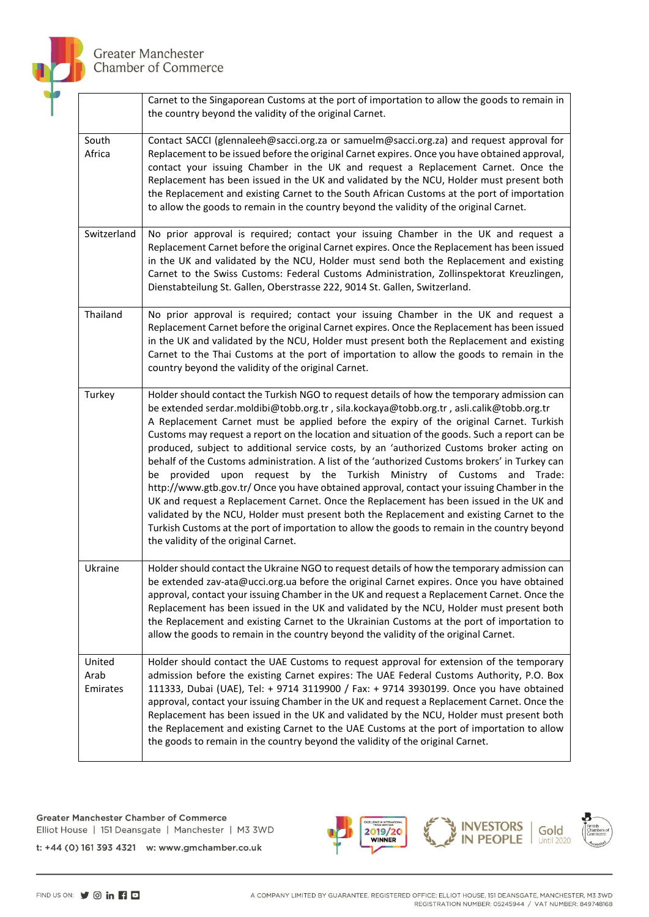

**Greater Manchester** Chamber of Commerce

|                            | Carnet to the Singaporean Customs at the port of importation to allow the goods to remain in<br>the country beyond the validity of the original Carnet.                                                                                                                                                                                                                                                                                                                                                                                                                                                                                                                                                                                                                                                                                                                                                                                                                                                                                                                                        |
|----------------------------|------------------------------------------------------------------------------------------------------------------------------------------------------------------------------------------------------------------------------------------------------------------------------------------------------------------------------------------------------------------------------------------------------------------------------------------------------------------------------------------------------------------------------------------------------------------------------------------------------------------------------------------------------------------------------------------------------------------------------------------------------------------------------------------------------------------------------------------------------------------------------------------------------------------------------------------------------------------------------------------------------------------------------------------------------------------------------------------------|
| South<br>Africa            | Contact SACCI (glennaleeh@sacci.org.za or samuelm@sacci.org.za) and request approval for<br>Replacement to be issued before the original Carnet expires. Once you have obtained approval,<br>contact your issuing Chamber in the UK and request a Replacement Carnet. Once the<br>Replacement has been issued in the UK and validated by the NCU, Holder must present both<br>the Replacement and existing Carnet to the South African Customs at the port of importation<br>to allow the goods to remain in the country beyond the validity of the original Carnet.                                                                                                                                                                                                                                                                                                                                                                                                                                                                                                                           |
| Switzerland                | No prior approval is required; contact your issuing Chamber in the UK and request a<br>Replacement Carnet before the original Carnet expires. Once the Replacement has been issued<br>in the UK and validated by the NCU, Holder must send both the Replacement and existing<br>Carnet to the Swiss Customs: Federal Customs Administration, Zollinspektorat Kreuzlingen,<br>Dienstabteilung St. Gallen, Oberstrasse 222, 9014 St. Gallen, Switzerland.                                                                                                                                                                                                                                                                                                                                                                                                                                                                                                                                                                                                                                        |
| Thailand                   | No prior approval is required; contact your issuing Chamber in the UK and request a<br>Replacement Carnet before the original Carnet expires. Once the Replacement has been issued<br>in the UK and validated by the NCU, Holder must present both the Replacement and existing<br>Carnet to the Thai Customs at the port of importation to allow the goods to remain in the<br>country beyond the validity of the original Carnet.                                                                                                                                                                                                                                                                                                                                                                                                                                                                                                                                                                                                                                                            |
| Turkey                     | Holder should contact the Turkish NGO to request details of how the temporary admission can<br>be extended serdar.moldibi@tobb.org.tr, sila.kockaya@tobb.org.tr, asli.calik@tobb.org.tr<br>A Replacement Carnet must be applied before the expiry of the original Carnet. Turkish<br>Customs may request a report on the location and situation of the goods. Such a report can be<br>produced, subject to additional service costs, by an 'authorized Customs broker acting on<br>behalf of the Customs administration. A list of the 'authorized Customs brokers' in Turkey can<br>upon request by the Turkish Ministry of Customs and Trade:<br>be provided<br>http://www.gtb.gov.tr/ Once you have obtained approval, contact your issuing Chamber in the<br>UK and request a Replacement Carnet. Once the Replacement has been issued in the UK and<br>validated by the NCU, Holder must present both the Replacement and existing Carnet to the<br>Turkish Customs at the port of importation to allow the goods to remain in the country beyond<br>the validity of the original Carnet. |
| Ukraine                    | Holder should contact the Ukraine NGO to request details of how the temporary admission can<br>be extended zav-ata@ucci.org.ua before the original Carnet expires. Once you have obtained<br>approval, contact your issuing Chamber in the UK and request a Replacement Carnet. Once the<br>Replacement has been issued in the UK and validated by the NCU, Holder must present both<br>the Replacement and existing Carnet to the Ukrainian Customs at the port of importation to<br>allow the goods to remain in the country beyond the validity of the original Carnet.                                                                                                                                                                                                                                                                                                                                                                                                                                                                                                                     |
| United<br>Arab<br>Emirates | Holder should contact the UAE Customs to request approval for extension of the temporary<br>admission before the existing Carnet expires: The UAE Federal Customs Authority, P.O. Box<br>111333, Dubai (UAE), Tel: + 9714 3119900 / Fax: + 9714 3930199. Once you have obtained<br>approval, contact your issuing Chamber in the UK and request a Replacement Carnet. Once the<br>Replacement has been issued in the UK and validated by the NCU, Holder must present both<br>the Replacement and existing Carnet to the UAE Customs at the port of importation to allow<br>the goods to remain in the country beyond the validity of the original Carnet.                                                                                                                                                                                                                                                                                                                                                                                                                                     |

**Greater Manchester Chamber of Commerce** Elliot House | 151 Deansgate | Manchester | M3 3WD